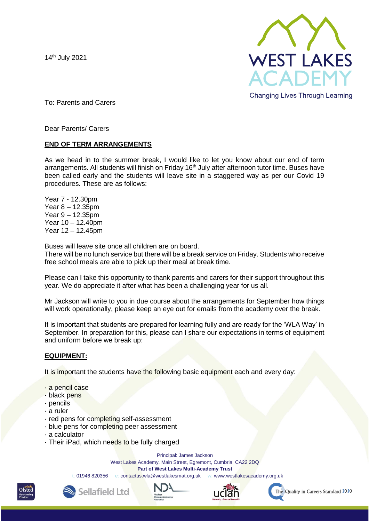14th July 2021



To: Parents and Carers

Dear Parents/ Carers

## **END OF TERM ARRANGEMENTS**

As we head in to the summer break, I would like to let you know about our end of term arrangements. All students will finish on Friday 16<sup>th</sup> July after afternoon tutor time. Buses have been called early and the students will leave site in a staggered way as per our Covid 19 procedures. These are as follows:

Year 7 - 12.30pm Year 8 – 12.35pm Year 9 – 12.35pm Year 10 – 12.40pm Year 12 – 12.45pm

Buses will leave site once all children are on board.

There will be no lunch service but there will be a break service on Friday. Students who receive free school meals are able to pick up their meal at break time.

Please can I take this opportunity to thank parents and carers for their support throughout this year. We do appreciate it after what has been a challenging year for us all.

Mr Jackson will write to you in due course about the arrangements for September how things will work operationally, please keep an eye out for emails from the academy over the break.

It is important that students are prepared for learning fully and are ready for the 'WLA Way' in September. In preparation for this, please can I share our expectations in terms of equipment and uniform before we break up:

## **EQUIPMENT:**

It is important the students have the following basic equipment each and every day:

- · a pencil case
- · black pens
- · pencils
- · a ruler
- · red pens for completing self-assessment
- · blue pens for completing peer assessment
- · a calculator
- · Their iPad, which needs to be fully charged

Sellafield Ltd

Principal: James Jackson

West Lakes Academy, Main Street, Egremont, Cumbria CA22 2DQ

**Part of West Lakes Multi-Academy Trust** 

t: 01946 820356 e: contactus.wla@westlakesmat.org.uk w: www.westlakesacademy.org.uk